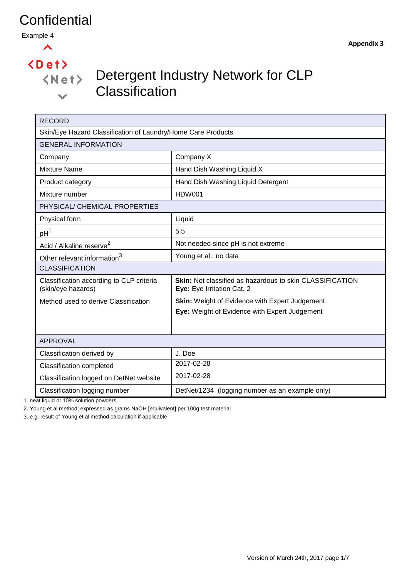Example 4



 $\langle$ Det $\rangle$ 

 $\checkmark$ 

# Detergent Industry Network for CLP **Classification**

| <b>RECORD</b>                                                  |                                                                                               |  |  |  |  |  |
|----------------------------------------------------------------|-----------------------------------------------------------------------------------------------|--|--|--|--|--|
| Skin/Eye Hazard Classification of Laundry/Home Care Products   |                                                                                               |  |  |  |  |  |
| <b>GENERAL INFORMATION</b>                                     |                                                                                               |  |  |  |  |  |
| Company                                                        | Company X                                                                                     |  |  |  |  |  |
| <b>Mixture Name</b>                                            | Hand Dish Washing Liquid X                                                                    |  |  |  |  |  |
| Product category                                               | Hand Dish Washing Liquid Detergent                                                            |  |  |  |  |  |
| Mixture number                                                 | <b>HDW001</b>                                                                                 |  |  |  |  |  |
| PHYSICAL/ CHEMICAL PROPERTIES                                  |                                                                                               |  |  |  |  |  |
| Physical form                                                  | Liquid                                                                                        |  |  |  |  |  |
| pH <sup>1</sup>                                                | 5.5                                                                                           |  |  |  |  |  |
| Acid / Alkaline reserve <sup>2</sup>                           | Not needed since pH is not extreme                                                            |  |  |  |  |  |
| Other relevant information <sup>3</sup>                        | Young et al.: no data                                                                         |  |  |  |  |  |
| <b>CLASSIFICATION</b>                                          |                                                                                               |  |  |  |  |  |
| Classification according to CLP criteria<br>(skin/eye hazards) | <b>Skin:</b> Not classified as hazardous to skin CLASSIFICATION<br>Eye: Eye Irritation Cat. 2 |  |  |  |  |  |
| Method used to derive Classification                           | <b>Skin:</b> Weight of Evidence with Expert Judgement                                         |  |  |  |  |  |
|                                                                | Eye: Weight of Evidence with Expert Judgement                                                 |  |  |  |  |  |
|                                                                |                                                                                               |  |  |  |  |  |
| <b>APPROVAL</b>                                                |                                                                                               |  |  |  |  |  |
| Classification derived by                                      | J. Doe                                                                                        |  |  |  |  |  |
| <b>Classification completed</b>                                | 2017-02-28                                                                                    |  |  |  |  |  |
| 2017-02-28<br>Classification logged on DetNet website          |                                                                                               |  |  |  |  |  |
| Classification logging number                                  | DetNet/1234 (logging number as an example only)                                               |  |  |  |  |  |

1. neat liquid or 10% solution powders

2. Young et al method; expressed as grams NaOH [equivalent] per 100g test material

3. e.g. result of Young et al method calculation if applicable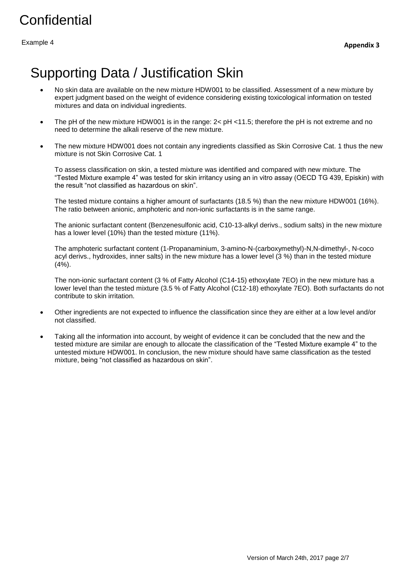Example 4

# Supporting Data / Justification Skin

- No skin data are available on the new mixture HDW001 to be classified. Assessment of a new mixture by expert judgment based on the weight of evidence considering existing toxicological information on tested mixtures and data on individual ingredients.
- The pH of the new mixture HDW001 is in the range: 2< pH <11.5; therefore the pH is not extreme and no need to determine the alkali reserve of the new mixture.
- The new mixture HDW001 does not contain any ingredients classified as Skin Corrosive Cat. 1 thus the new mixture is not Skin Corrosive Cat. 1

To assess classification on skin, a tested mixture was identified and compared with new mixture. The "Tested Mixture example 4" was tested for skin irritancy using an in vitro assay (OECD TG 439, Episkin) with the result "not classified as hazardous on skin".

The tested mixture contains a higher amount of surfactants (18.5 %) than the new mixture HDW001 (16%). The ratio between anionic, amphoteric and non-ionic surfactants is in the same range.

The anionic surfactant content (Benzenesulfonic acid, C10-13-alkyl derivs., sodium salts) in the new mixture has a lower level (10%) than the tested mixture (11%).

The amphoteric surfactant content (1-Propanaminium, 3-amino-N-(carboxymethyl)-N,N-dimethyl-, N-coco acyl derivs., hydroxides, inner salts) in the new mixture has a lower level (3 %) than in the tested mixture (4%).

The non-ionic surfactant content (3 % of Fatty Alcohol (C14-15) ethoxylate 7EO) in the new mixture has a lower level than the tested mixture (3.5 % of Fatty Alcohol (C12-18) ethoxylate 7EO). Both surfactants do not contribute to skin irritation.

- Other ingredients are not expected to influence the classification since they are either at a low level and/or not classified.
- Taking all the information into account, by weight of evidence it can be concluded that the new and the tested mixture are similar are enough to allocate the classification of the "Tested Mixture example 4" to the untested mixture HDW001. In conclusion, the new mixture should have same classification as the tested mixture, being "not classified as hazardous on skin".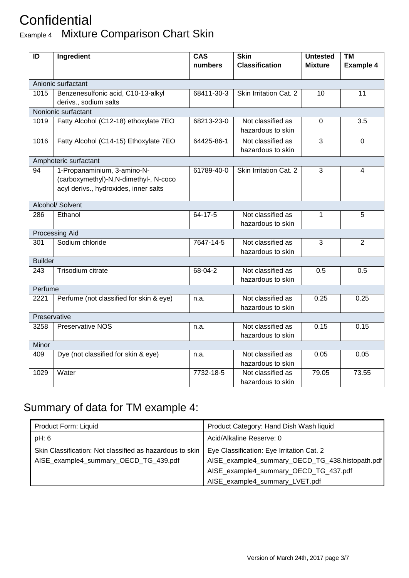#### **Confidential** Example 4 Mixture Comparison Chart Skin

| ID                 | Ingredient                                                                                                    | <b>Skin</b><br><b>CAS</b><br><b>Classification</b><br>numbers |                                        | <b>Untested</b><br><b>Mixture</b> | <b>TM</b><br><b>Example 4</b> |  |  |  |  |
|--------------------|---------------------------------------------------------------------------------------------------------------|---------------------------------------------------------------|----------------------------------------|-----------------------------------|-------------------------------|--|--|--|--|
|                    |                                                                                                               |                                                               |                                        |                                   |                               |  |  |  |  |
| Anionic surfactant |                                                                                                               |                                                               |                                        |                                   |                               |  |  |  |  |
| 1015               | Benzenesulfonic acid, C10-13-alkyl<br>derivs., sodium salts                                                   | 68411-30-3                                                    | Skin Irritation Cat. 2                 | 10                                | 11                            |  |  |  |  |
|                    | Nonionic surfactant                                                                                           |                                                               |                                        |                                   |                               |  |  |  |  |
| 1019               | Fatty Alcohol (C12-18) ethoxylate 7EO                                                                         | 68213-23-0                                                    | Not classified as<br>hazardous to skin | $\mathbf 0$                       | 3.5                           |  |  |  |  |
| 1016               | Fatty Alcohol (C14-15) Ethoxylate 7EO                                                                         | 64425-86-1                                                    | Not classified as<br>hazardous to skin | 3                                 | $\Omega$                      |  |  |  |  |
|                    | Amphoteric surfactant                                                                                         |                                                               |                                        |                                   |                               |  |  |  |  |
| 94                 | 1-Propanaminium, 3-amino-N-<br>(carboxymethyl)-N,N-dimethyl-, N-coco<br>acyl derivs., hydroxides, inner salts | 61789-40-0                                                    | Skin Irritation Cat. 2                 | 3                                 | 4                             |  |  |  |  |
| Alcohol/ Solvent   |                                                                                                               |                                                               |                                        |                                   |                               |  |  |  |  |
| 286                | Ethanol                                                                                                       | 64-17-5                                                       | Not classified as<br>hazardous to skin | 1                                 | 5                             |  |  |  |  |
|                    | Processing Aid                                                                                                |                                                               |                                        |                                   |                               |  |  |  |  |
| 301                | Sodium chloride                                                                                               | 7647-14-5                                                     | Not classified as<br>hazardous to skin | 3                                 | $\overline{2}$                |  |  |  |  |
| <b>Builder</b>     |                                                                                                               |                                                               |                                        |                                   |                               |  |  |  |  |
| 243                | Trisodium citrate                                                                                             | 68-04-2                                                       | Not classified as<br>hazardous to skin | 0.5                               | 0.5                           |  |  |  |  |
| Perfume            |                                                                                                               |                                                               |                                        |                                   |                               |  |  |  |  |
| 2221               | Perfume (not classified for skin & eye)                                                                       | n.a.                                                          | Not classified as<br>hazardous to skin | 0.25                              | 0.25                          |  |  |  |  |
| Preservative       |                                                                                                               |                                                               |                                        |                                   |                               |  |  |  |  |
| 3258               | <b>Preservative NOS</b>                                                                                       | n.a.                                                          | Not classified as<br>hazardous to skin | 0.15                              | 0.15                          |  |  |  |  |
| Minor              |                                                                                                               |                                                               |                                        |                                   |                               |  |  |  |  |
| 409                | Dye (not classified for skin & eye)                                                                           | n.a.                                                          | Not classified as<br>hazardous to skin | 0.05                              | 0.05                          |  |  |  |  |
| 1029               | Water                                                                                                         | 7732-18-5                                                     | Not classified as<br>hazardous to skin | 79.05                             | 73.55                         |  |  |  |  |

### Summary of data for TM example 4:

| Product Form: Liquid                                     | Product Category: Hand Dish Wash liquid         |
|----------------------------------------------------------|-------------------------------------------------|
| pH: 6                                                    | Acid/Alkaline Reserve: 0                        |
| Skin Classification: Not classified as hazardous to skin | Eye Classification: Eye Irritation Cat. 2       |
| AISE_example4_summary_OECD_TG_439.pdf                    | AISE_example4_summary_OECD_TG_438.histopath.pdf |
|                                                          | AISE_example4_summary_OECD_TG_437.pdf           |
|                                                          | AISE_example4_summary_LVET.pdf                  |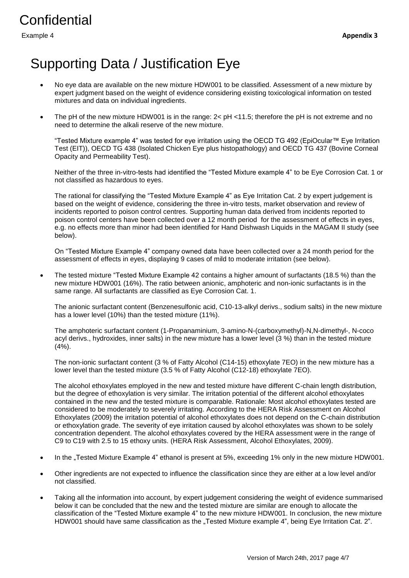Example 4

# Supporting Data / Justification Eye

- No eye data are available on the new mixture HDW001 to be classified. Assessment of a new mixture by expert judgment based on the weight of evidence considering existing toxicological information on tested mixtures and data on individual ingredients.
- The pH of the new mixture HDW001 is in the range: 2< pH <11.5; therefore the pH is not extreme and no need to determine the alkali reserve of the new mixture.

"Tested Mixture example 4" was tested for eye irritation using the OECD TG 492 (EpiOcular™ Eye Irritation Test (EIT)), OECD TG 438 (Isolated Chicken Eye plus histopathology) and OECD TG 437 (Bovine Corneal Opacity and Permeability Test).

Neither of the three in-vitro-tests had identified the "Tested Mixture example 4" to be Eye Corrosion Cat. 1 or not classified as hazardous to eyes.

The rational for classifying the "Tested Mixture Example 4" as Eye Irritation Cat. 2 by expert judgement is based on the weight of evidence, considering the three in-vitro tests, market observation and review of incidents reported to poison control centres. Supporting human data derived from incidents reported to poison control centers have been collected over a 12 month period for the assessment of effects in eyes, e.g. no effects more than minor had been identified for Hand Dishwash Liquids in the MAGAM II study (see below).

On "Tested Mixture Example 4" company owned data have been collected over a 24 month period for the assessment of effects in eyes, displaying 9 cases of mild to moderate irritation (see below).

 The tested mixture "Tested Mixture Example 42 contains a higher amount of surfactants (18.5 %) than the new mixture HDW001 (16%). The ratio between anionic, amphoteric and non-ionic surfactants is in the same range. All surfactants are classified as Eye Corrosion Cat. 1.

The anionic surfactant content (Benzenesulfonic acid, C10-13-alkyl derivs., sodium salts) in the new mixture has a lower level (10%) than the tested mixture (11%).

The amphoteric surfactant content (1-Propanaminium, 3-amino-N-(carboxymethyl)-N,N-dimethyl-, N-coco acyl derivs., hydroxides, inner salts) in the new mixture has a lower level (3 %) than in the tested mixture (4%).

The non-ionic surfactant content (3 % of Fatty Alcohol (C14-15) ethoxylate 7EO) in the new mixture has a lower level than the tested mixture (3.5 % of Fatty Alcohol (C12-18) ethoxylate 7EO).

The alcohol ethoxylates employed in the new and tested mixture have different C-chain length distribution, but the degree of ethoxylation is very similar. The irritation potential of the different alcohol ethoxylates contained in the new and the tested mixture is comparable. Rationale: Most alcohol ethoxylates tested are considered to be moderately to severely irritating. According to the HERA Risk Assessment on Alcohol Ethoxylates (2009) the irritation potential of alcohol ethoxylates does not depend on the C-chain distribution or ethoxylation grade. The severity of eye irritation caused by alcohol ethoxylates was shown to be solely concentration dependent. The alcohol ethoxylates covered by the HERA assessment were in the range of C9 to C19 with 2.5 to 15 ethoxy units. (HERA Risk Assessment, Alcohol Ethoxylates, 2009).

- In the "Tested Mixture Example 4" ethanol is present at 5%, exceeding 1% only in the new mixture HDW001.
- Other ingredients are not expected to influence the classification since they are either at a low level and/or not classified.
- Taking all the information into account, by expert judgement considering the weight of evidence summarised below it can be concluded that the new and the tested mixture are similar are enough to allocate the classification of the "Tested Mixture example 4" to the new mixture HDW001. In conclusion, the new mixture HDW001 should have same classification as the "Tested Mixture example 4", being Eye Irritation Cat. 2".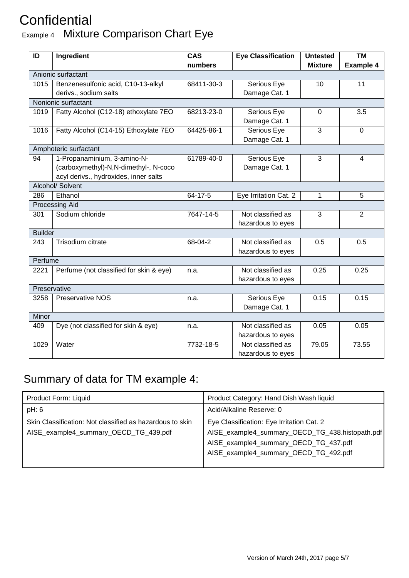#### **Confidential** Example 4 Mixture Comparison Chart Eye

| ID                 | Ingredient                              | <b>CAS</b><br><b>Eye Classification</b> |                       | <b>Untested</b> | <b>TM</b>        |  |  |  |
|--------------------|-----------------------------------------|-----------------------------------------|-----------------------|-----------------|------------------|--|--|--|
|                    |                                         | numbers                                 |                       | <b>Mixture</b>  | <b>Example 4</b> |  |  |  |
| Anionic surfactant |                                         |                                         |                       |                 |                  |  |  |  |
| 1015               | Benzenesulfonic acid, C10-13-alkyl      | 68411-30-3                              | Serious Eye           | 10              | 11               |  |  |  |
|                    | derivs., sodium salts                   |                                         | Damage Cat. 1         |                 |                  |  |  |  |
|                    | Nonionic surfactant                     |                                         |                       |                 |                  |  |  |  |
| 1019               | Fatty Alcohol (C12-18) ethoxylate 7EO   | 68213-23-0                              | Serious Eye           | 0               | 3.5              |  |  |  |
|                    |                                         |                                         | Damage Cat. 1         |                 |                  |  |  |  |
| 1016               | Fatty Alcohol (C14-15) Ethoxylate 7EO   | 64425-86-1                              | Serious Eye           | 3               | $\mathbf 0$      |  |  |  |
|                    |                                         |                                         | Damage Cat. 1         |                 |                  |  |  |  |
|                    | Amphoteric surfactant                   |                                         |                       |                 |                  |  |  |  |
| 94                 | 1-Propanaminium, 3-amino-N-             | 61789-40-0                              | Serious Eye           | 3               | 4                |  |  |  |
|                    | (carboxymethyl)-N,N-dimethyl-, N-coco   |                                         | Damage Cat. 1         |                 |                  |  |  |  |
|                    | acyl derivs., hydroxides, inner salts   |                                         |                       |                 |                  |  |  |  |
|                    | Alcohol/ Solvent                        |                                         |                       |                 |                  |  |  |  |
| 286                | Ethanol                                 | 64-17-5                                 | Eye Irritation Cat. 2 | 1               | 5                |  |  |  |
|                    | <b>Processing Aid</b>                   |                                         |                       |                 |                  |  |  |  |
| 301                | Sodium chloride                         | 7647-14-5                               | Not classified as     | 3               | $\overline{2}$   |  |  |  |
|                    |                                         |                                         | hazardous to eyes     |                 |                  |  |  |  |
| <b>Builder</b>     |                                         |                                         |                       |                 |                  |  |  |  |
| 243                | <b>Trisodium citrate</b>                | 68-04-2                                 | Not classified as     | 0.5             | 0.5              |  |  |  |
|                    |                                         |                                         | hazardous to eyes     |                 |                  |  |  |  |
| Perfume            |                                         |                                         |                       |                 |                  |  |  |  |
| 2221               | Perfume (not classified for skin & eye) | n.a.                                    | Not classified as     | 0.25            | 0.25             |  |  |  |
|                    |                                         |                                         | hazardous to eyes     |                 |                  |  |  |  |
|                    | Preservative                            |                                         |                       |                 |                  |  |  |  |
| 3258               | <b>Preservative NOS</b>                 | n.a.                                    | Serious Eye           | 0.15            | 0.15             |  |  |  |
|                    |                                         |                                         | Damage Cat. 1         |                 |                  |  |  |  |
| Minor              |                                         |                                         |                       |                 |                  |  |  |  |
| 409                | Dye (not classified for skin & eye)     | n.a.                                    | Not classified as     | 0.05            | 0.05             |  |  |  |
|                    |                                         |                                         | hazardous to eyes     |                 |                  |  |  |  |
| 1029               | Water                                   | 7732-18-5                               | Not classified as     | 79.05           | 73.55            |  |  |  |
|                    |                                         |                                         | hazardous to eyes     |                 |                  |  |  |  |

#### Summary of data for TM example 4:

| Product Form: Liquid                                                                              | Product Category: Hand Dish Wash liquid                                                                                                                                        |
|---------------------------------------------------------------------------------------------------|--------------------------------------------------------------------------------------------------------------------------------------------------------------------------------|
| pH: 6                                                                                             | Acid/Alkaline Reserve: 0                                                                                                                                                       |
| Skin Classification: Not classified as hazardous to skin<br>AISE_example4_summary_OECD_TG_439.pdf | Eye Classification: Eye Irritation Cat. 2<br>AISE_example4_summary_OECD_TG_438.histopath.pdf<br>AISE_example4_summary_OECD_TG_437.pdf<br>AISE_example4_summary_OECD_TG_492.pdf |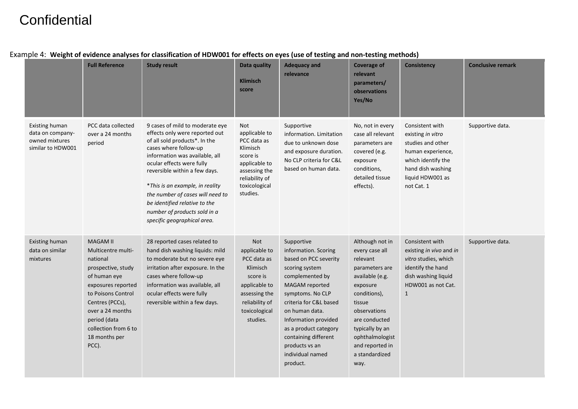|                                                                                  | <b>Full Reference</b>                                                                                                                                                                                                                        | <b>Study result</b>                                                                                                                                                                                                                                                                                                                                                                                | Data quality<br><b>Klimisch</b><br>score                                                                                                     | <b>Adequacy and</b><br>relevance                                                                                                                                                                                                                                                                              | <b>Coverage of</b><br>relevant<br>parameters/<br>observations<br>Yes/No                                                                                                                                                                      | <b>Consistency</b>                                                                                                                                          | <b>Conclusive remark</b> |
|----------------------------------------------------------------------------------|----------------------------------------------------------------------------------------------------------------------------------------------------------------------------------------------------------------------------------------------|----------------------------------------------------------------------------------------------------------------------------------------------------------------------------------------------------------------------------------------------------------------------------------------------------------------------------------------------------------------------------------------------------|----------------------------------------------------------------------------------------------------------------------------------------------|---------------------------------------------------------------------------------------------------------------------------------------------------------------------------------------------------------------------------------------------------------------------------------------------------------------|----------------------------------------------------------------------------------------------------------------------------------------------------------------------------------------------------------------------------------------------|-------------------------------------------------------------------------------------------------------------------------------------------------------------|--------------------------|
| <b>Existing human</b><br>data on company-<br>owned mixtures<br>similar to HDW001 | PCC data collected<br>over a 24 months<br>period                                                                                                                                                                                             | 9 cases of mild to moderate eye<br>effects only were reported out<br>of all sold products*. In the<br>cases where follow-up<br>information was available, all<br>ocular effects were fully<br>reversible within a few days.<br>*This is an example, in reality<br>the number of cases will need to<br>be identified relative to the<br>number of products sold in a<br>specific geographical area. | Not<br>applicable to<br>PCC data as<br>Klimisch<br>score is<br>applicable to<br>assessing the<br>reliability of<br>toxicological<br>studies. | Supportive<br>information. Limitation<br>due to unknown dose<br>and exposure duration.<br>No CLP criteria for C&L<br>based on human data.                                                                                                                                                                     | No, not in every<br>case all relevant<br>parameters are<br>covered (e.g.<br>exposure<br>conditions,<br>detailed tissue<br>effects).                                                                                                          | Consistent with<br>existing in vitro<br>studies and other<br>human experience,<br>which identify the<br>hand dish washing<br>liquid HDW001 as<br>not Cat. 1 | Supportive data.         |
| <b>Existing human</b><br>data on similar<br>mixtures                             | <b>MAGAM II</b><br>Multicentre multi-<br>national<br>prospective, study<br>of human eye<br>exposures reported<br>to Poisons Control<br>Centres (PCCs),<br>over a 24 months<br>period (data<br>collection from 6 to<br>18 months per<br>PCC). | 28 reported cases related to<br>hand dish washing liquids: mild<br>to moderate but no severe eye<br>irritation after exposure. In the<br>cases where follow-up<br>information was available, all<br>ocular effects were fully<br>reversible within a few days.                                                                                                                                     | Not<br>applicable to<br>PCC data as<br>Klimisch<br>score is<br>applicable to<br>assessing the<br>reliability of<br>toxicological<br>studies. | Supportive<br>information. Scoring<br>based on PCC severity<br>scoring system<br>complemented by<br>MAGAM reported<br>symptoms. No CLP<br>criteria for C&L based<br>on human data.<br>Information provided<br>as a product category<br>containing different<br>products vs an<br>individual named<br>product. | Although not in<br>every case all<br>relevant<br>parameters are<br>available (e.g.<br>exposure<br>conditions),<br>tissue<br>observations<br>are conducted<br>typically by an<br>ophthalmologist<br>and reported in<br>a standardized<br>way. | Consistent with<br>existing in vivo and in<br>vitro studies, which<br>identify the hand<br>dish washing liquid<br>HDW001 as not Cat.<br>$\mathbf{1}$        | Supportive data.         |

#### Example 4: **Weight of evidence analyses for classification of HDW001 for effects on eyes (use of testing and non-testing methods)**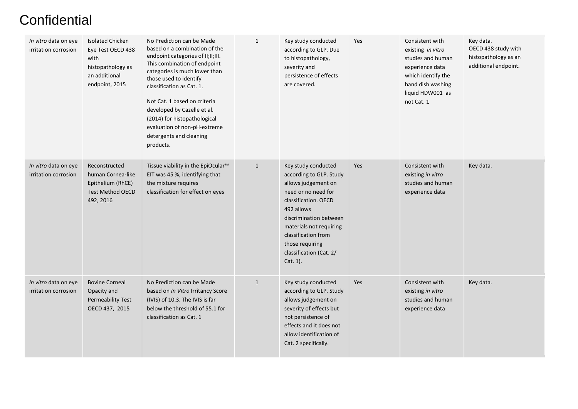| In vitro data on eye<br>irritation corrosion | <b>Isolated Chicken</b><br>Eye Test OECD 438<br>with<br>histopathology as<br>an additional<br>endpoint, 2015 | No Prediction can be Made<br>based on a combination of the<br>endpoint categories of II;II;III.<br>This combination of endpoint<br>categories is much lower than<br>those used to identify<br>classification as Cat. 1.<br>Not Cat. 1 based on criteria<br>developed by Cazelle et al.<br>(2014) for histopathological<br>evaluation of non-pH-extreme<br>detergents and cleaning<br>products. | $\mathbf{1}$ | Key study conducted<br>according to GLP. Due<br>to histopathology,<br>severity and<br>persistence of effects<br>are covered.                                                                                                                                             | Yes | Consistent with<br>existing in vitro<br>studies and human<br>experience data<br>which identify the<br>hand dish washing<br>liquid HDW001 as<br>not Cat. 1 | Key data.<br>OECD 438 study with<br>histopathology as an<br>additional endpoint. |
|----------------------------------------------|--------------------------------------------------------------------------------------------------------------|------------------------------------------------------------------------------------------------------------------------------------------------------------------------------------------------------------------------------------------------------------------------------------------------------------------------------------------------------------------------------------------------|--------------|--------------------------------------------------------------------------------------------------------------------------------------------------------------------------------------------------------------------------------------------------------------------------|-----|-----------------------------------------------------------------------------------------------------------------------------------------------------------|----------------------------------------------------------------------------------|
| In vitro data on eye<br>irritation corrosion | Reconstructed<br>human Cornea-like<br>Epithelium (RhCE)<br><b>Test Method OECD</b><br>492, 2016              | Tissue viability in the EpiOcular <sup>™</sup><br>EIT was 45 %, identifying that<br>the mixture requires<br>classification for effect on eyes                                                                                                                                                                                                                                                  | $\mathbf{1}$ | Key study conducted<br>according to GLP. Study<br>allows judgement on<br>need or no need for<br>classification. OECD<br>492 allows<br>discrimination between<br>materials not requiring<br>classification from<br>those requiring<br>classification (Cat. 2/<br>Cat. 1). | Yes | Consistent with<br>existing in vitro<br>studies and human<br>experience data                                                                              | Key data.                                                                        |
| In vitro data on eye<br>irritation corrosion | <b>Bovine Corneal</b><br>Opacity and<br>Permeability Test<br>OECD 437, 2015                                  | No Prediction can be Made<br>based on In Vitro Irritancy Score<br>(IVIS) of 10.3. The IVIS is far<br>below the threshold of 55.1 for<br>classification as Cat. 1                                                                                                                                                                                                                               | $\mathbf{1}$ | Key study conducted<br>according to GLP. Study<br>allows judgement on<br>severity of effects but<br>not persistence of<br>effects and it does not<br>allow identification of<br>Cat. 2 specifically.                                                                     | Yes | Consistent with<br>existing in vitro<br>studies and human<br>experience data                                                                              | Key data.                                                                        |